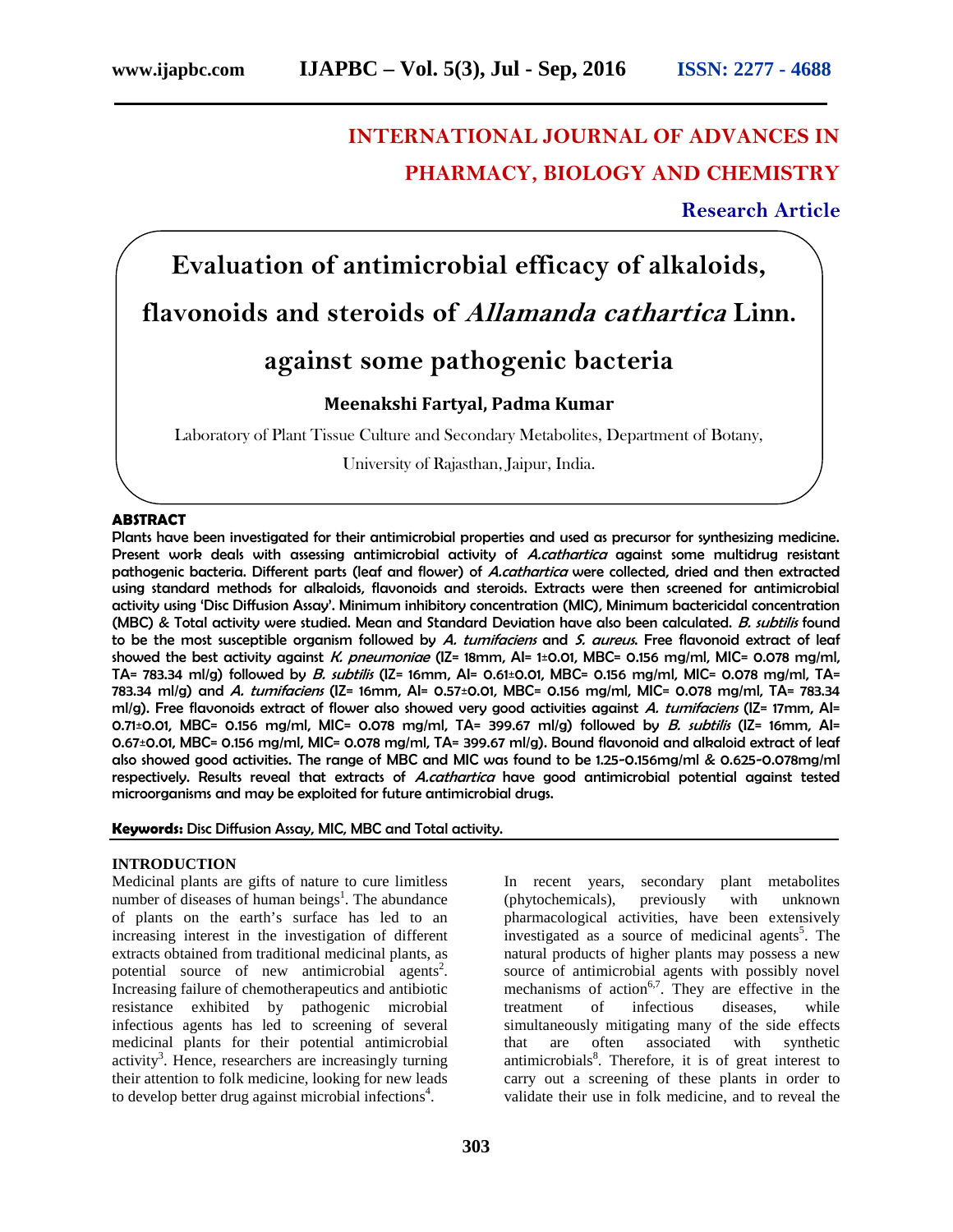## **INTERNATIONAL JOURNAL OF ADVANCES IN PHARMACY, BIOLOGY AND CHEMISTRY**

**Research Article**

# **Evaluation of antimicrobial efficacy of alkaloids, flavonoids and steroids of** *Allamanda cathartica* **Linn.**

## **against some pathogenic bacteria**

### **Meenakshi Fartyal, Padma Kumar**

Laboratory of Plant Tissue Culture and Secondary Metabolites, Department of Botany,

University of Rajasthan, Jaipur, India.

#### **ABSTRACT**

Plants have been investigated for their antimicrobial properties and used as precursor for synthesizing medicine. Present work deals with assessing antimicrobial activity of *A.cathartica* against some multidrug resistant pathogenic bacteria. Different parts (leaf and flower) of *A.cathartica* were collected, dried and then extracted using standard methods for alkaloids, flavonoids and steroids. Extracts were then screened for antimicrobial activity using 'Disc Diffusion Assay'. Minimum inhibitory concentration (MIC), Minimum bactericidal concentration (MBC) & Total activity were studied. Mean and Standard Deviation have also been calculated. *B. subtilis* found to be the most susceptible organism followed by *A. tumifaciens* and *S. aureus*. Free flavonoid extract of leaf showed the best activity against *K. pneumoniae* (IZ= 18mm, AI= 1±0.01, MBC= 0.156 mg/ml, MIC= 0.078 mg/ml, TA= 783.34 ml/g) followed by *B. subtilis* (IZ= 16mm, AI= 0.61±0.01, MBC= 0.156 mg/ml, MIC= 0.078 mg/ml, TA= 783.34 ml/g) and *A. tumifaciens* (IZ= 16mm, AI= 0.57±0.01, MBC= 0.156 mg/ml, MIC= 0.078 mg/ml, TA= 783.34 ml/g). Free flavonoids extract of flower also showed very good activities against *A. tumifaciens* (IZ= 17mm, AI= 0.71±0.01, MBC= 0.156 mg/ml, MIC= 0.078 mg/ml, TA= 399.67 ml/g) followed by *B. subtilis* (IZ= 16mm, AI= 0.67±0.01, MBC= 0.156 mg/ml, MIC= 0.078 mg/ml, TA= 399.67 ml/g). Bound flavonoid and alkaloid extract of leaf also showed good activities. The range of MBC and MIC was found to be 1.25-0.156mg/ml & 0.625-0.078mg/ml respectively. Results reveal that extracts of *A.cathartica* have good antimicrobial potential against tested microorganisms and may be exploited for future antimicrobial drugs.

**Keywords:** Disc Diffusion Assay, MIC, MBC and Total activity.

#### **INTRODUCTION**

Medicinal plants are gifts of nature to cure limitless number of diseases of human beings<sup>1</sup>. The abundance of plants on the earth's surface has led to an increasing interest in the investigation of different extracts obtained from traditional medicinal plants, as potential source of new antimicrobial agents<sup>2</sup>. Increasing failure of chemotherapeutics and antibiotic resistance exhibited by pathogenic microbial infectious agents has led to screening of several medicinal plants for their potential antimicrobial activity<sup>3</sup>. Hence, researchers are increasingly turning their attention to folk medicine, looking for new leads to develop better drug against microbial infections<sup>4</sup>.

In recent years, secondary plant metabolites (phytochemicals), previously with unknown pharmacological activities, have been extensively investigated as a source of medicinal agents<sup>5</sup>. The natural products of higher plants may possess a new source of antimicrobial agents with possibly novel mechanisms of action<sup>6,7</sup>. They are effective in the treatment of infectious diseases, while simultaneously mitigating many of the side effects that are often associated with synthetic antimicrobials<sup>8</sup>. Therefore, it is of great interest to carry out a screening of these plants in order to validate their use in folk medicine, and to reveal the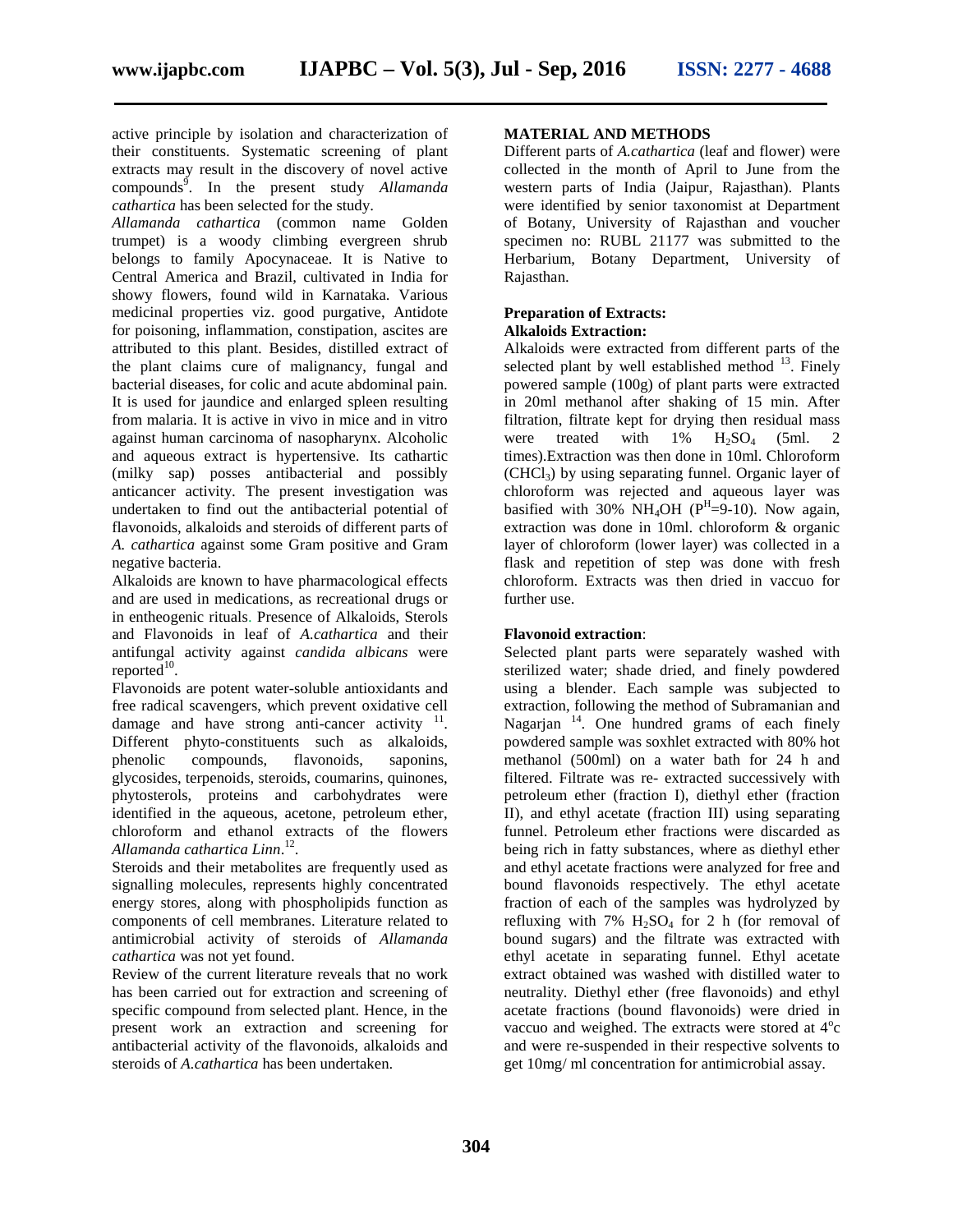active principle by isolation and characterization of their constituents. Systematic screening of plant extracts may result in the discovery of novel active compounds<sup>9</sup>. In the present study *Allamanda cathartica* has been selected for the study.

*Allamanda cathartica* (common name Golden trumpet) is a woody climbing evergreen shrub belongs to family Apocynaceae. It is Native to Central America and Brazil, cultivated in India for showy flowers, found wild in Karnataka. Various medicinal properties viz. good purgative, Antidote for poisoning, inflammation, constipation, ascites are attributed to this plant. Besides, distilled extract of the plant claims cure of malignancy, fungal and bacterial diseases, for colic and acute abdominal pain. It is used for jaundice and enlarged spleen resulting from malaria. It is active in vivo in mice and in vitro against human carcinoma of nasopharynx. Alcoholic and aqueous extract is hypertensive. Its cathartic (milky sap) posses antibacterial and possibly anticancer activity. The present investigation was undertaken to find out the antibacterial potential of flavonoids, alkaloids and steroids of different parts of *A. cathartica* against some Gram positive and Gram negative bacteria.

Alkaloids are known to have pharmacological effects and are used in medications, as recreational drugs or in entheogenic rituals. Presence of Alkaloids, Sterols and Flavonoids in leaf of *A.cathartica* and their antifungal activity against *candida albicans* were  $reported$ <sup>10</sup>.

Flavonoids are potent water-soluble antioxidants and free radical scavengers, which prevent oxidative cell damage and have strong anti-cancer activity  $11$ . Different phyto-constituents such as alkaloids, phenolic compounds, flavonoids, saponins, glycosides, terpenoids, steroids, coumarins, quinones, phytosterols, proteins and carbohydrates were identified in the aqueous, acetone, petroleum ether, chloroform and ethanol extracts of the flowers *Allamanda cathartica Linn*.<sup>12</sup> .

Steroids and their metabolites are frequently used as signalling molecules, represents highly concentrated energy stores, along with phospholipids function as components of cell membranes. Literature related to antimicrobial activity of steroids of *Allamanda cathartica* was not yet found.

Review of the current literature reveals that no work has been carried out for extraction and screening of specific compound from selected plant. Hence, in the present work an extraction and screening for antibacterial activity of the flavonoids, alkaloids and steroids of *A.cathartica* has been undertaken.

#### **MATERIAL AND METHODS**

Different parts of *A.cathartica* (leaf and flower) were collected in the month of April to June from the western parts of India (Jaipur, Rajasthan). Plants were identified by senior taxonomist at Department of Botany, University of Rajasthan and voucher specimen no: RUBL 21177 was submitted to the Herbarium, Botany Department, University of Rajasthan.

#### **Preparation of Extracts: Alkaloids Extraction:**

Alkaloids were extracted from different parts of the selected plant by well established method  $^{13}$ . Finely powered sample (100g) of plant parts were extracted in 20ml methanol after shaking of 15 min. After filtration, filtrate kept for drying then residual mass were treated with  $1\%$   $H_2SO_4$  (5ml. 2 times).Extraction was then done in 10ml. Chloroform  $(CHCl<sub>3</sub>)$  by using separating funnel. Organic layer of chloroform was rejected and aqueous layer was basified with 30% NH<sub>4</sub>OH ( $P$ <sup>H</sup>=9-10). Now again, extraction was done in 10ml. chloroform & organic layer of chloroform (lower layer) was collected in a flask and repetition of step was done with fresh chloroform. Extracts was then dried in vaccuo for further use.

#### **Flavonoid extraction**:

Selected plant parts were separately washed with sterilized water; shade dried, and finely powdered using a blender. Each sample was subjected to extraction, following the method of Subramanian and Nagarjan<sup>14</sup>. One hundred grams of each finely powdered sample was soxhlet extracted with 80% hot methanol (500ml) on a water bath for 24 h and filtered. Filtrate was re- extracted successively with petroleum ether (fraction I), diethyl ether (fraction II), and ethyl acetate (fraction III) using separating funnel. Petroleum ether fractions were discarded as being rich in fatty substances, where as diethyl ether and ethyl acetate fractions were analyzed for free and bound flavonoids respectively. The ethyl acetate fraction of each of the samples was hydrolyzed by refluxing with 7%  $H_2SO_4$  for 2 h (for removal of bound sugars) and the filtrate was extracted with ethyl acetate in separating funnel. Ethyl acetate extract obtained was washed with distilled water to neutrality. Diethyl ether (free flavonoids) and ethyl acetate fractions (bound flavonoids) were dried in vaccuo and weighed. The extracts were stored at  $4^{\circ}c$ and were re-suspended in their respective solvents to get 10mg/ ml concentration for antimicrobial assay.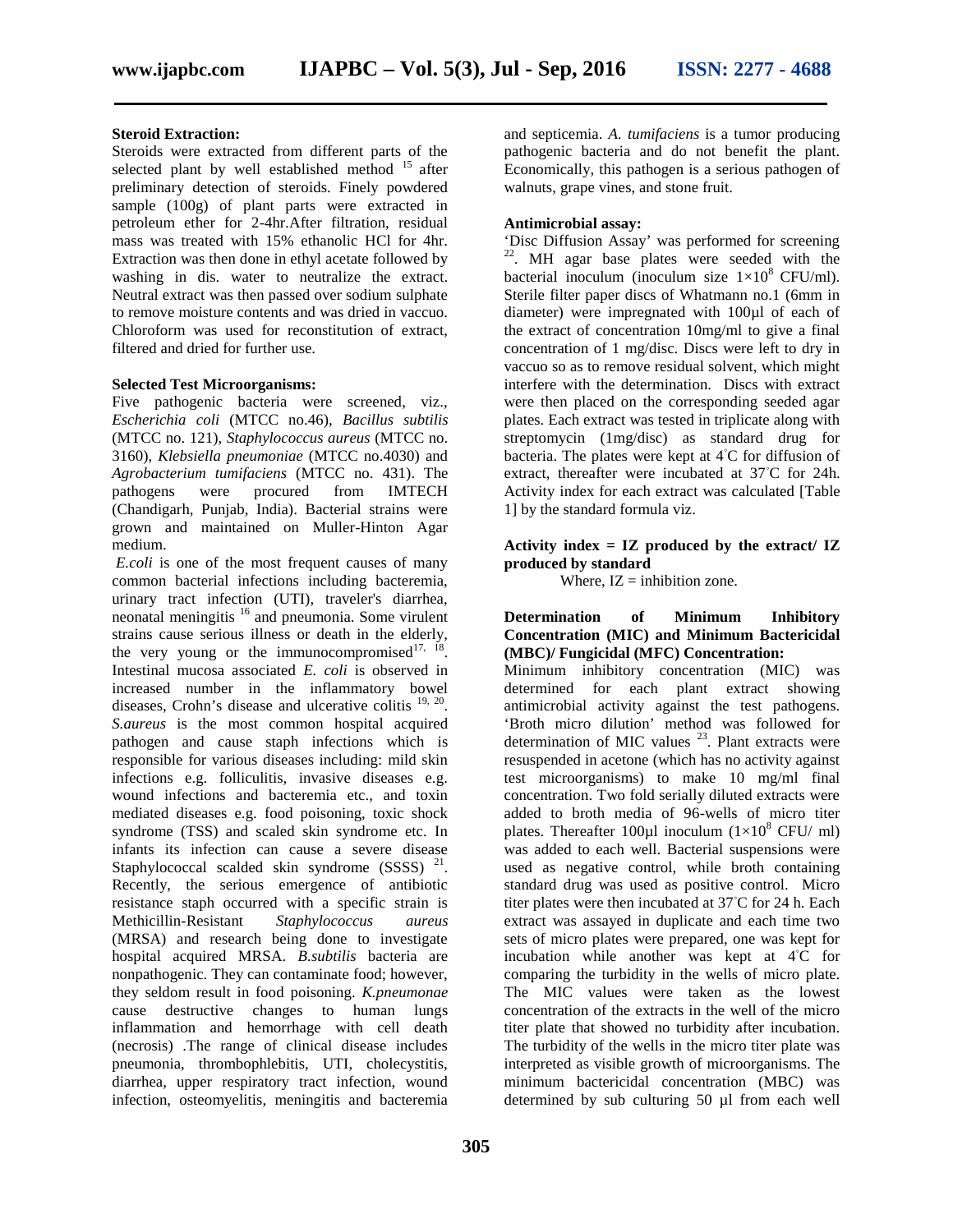#### **Steroid Extraction:**

Steroids were extracted from different parts of the selected plant by well established method  $15$  after preliminary detection of steroids. Finely powdered sample (100g) of plant parts were extracted in petroleum ether for 2-4hr.After filtration, residual mass was treated with 15% ethanolic HCl for 4hr. Extraction was then done in ethyl acetate followed by washing in dis. water to neutralize the extract. Neutral extract was then passed over sodium sulphate to remove moisture contents and was dried in vaccuo. Chloroform was used for reconstitution of extract, filtered and dried for further use.

#### **Selected Test Microorganisms:**

Five pathogenic bacteria were screened, viz., *Escherichia coli* (MTCC no.46), *Bacillus subtilis* (MTCC no. 121), *Staphylococcus aureus* (MTCC no. 3160), *Klebsiella pneumoniae* (MTCC no.4030) and *Agrobacterium tumifaciens* (MTCC no. 431). The pathogens were procured from IMTECH (Chandigarh, Punjab, India). Bacterial strains were grown and maintained on Muller-Hinton Agar medium.

*E.coli* is one of the most frequent causes of many common bacterial infections including bacteremia, urinary tract infection (UTI), traveler's diarrhea, neonatal meningitis <sup>16</sup> and pneumonia. Some virulent strains cause serious illness or death in the elderly, the very young or the immunocompromised $17, 18$ . Intestinal mucosa associated *E. coli* is observed in increased number in the inflammatory bowel diseases, Crohn's disease and ulcerative colitis <sup>19, 20</sup>. *S.aureus* is the most common hospital acquired pathogen and cause staph infections which is responsible for various diseases including: mild skin infections e.g. folliculitis, invasive diseases e.g. wound infections and bacteremia etc., and toxin mediated diseases e.g. food poisoning, toxic shock syndrome (TSS) and scaled skin syndrome etc. In infants its infection can cause a severe disease Staphylococcal scalded skin syndrome  $(SSSS)$ <sup>21</sup>. Recently, the serious emergence of antibiotic resistance staph occurred with a specific strain is Methicillin-Resistant *Staphylococcus aureus* (MRSA) and research being done to investigate hospital acquired MRSA. *B.subtilis* bacteria are nonpathogenic. They can contaminate food; however, they seldom result in food poisoning. *K.pneumonae* cause destructive changes to human lungs inflammation and hemorrhage with cell death (necrosis) .The range of clinical disease includes pneumonia, thrombophlebitis, UTI, cholecystitis, diarrhea, upper respiratory tract infection, wound infection, osteomyelitis, meningitis and bacteremia

and septicemia. *A. tumifaciens* is a tumor producing pathogenic bacteria and do not benefit the plant. Economically, this pathogen is a serious pathogen of walnuts, grape vines, and stone fruit.

#### **Antimicrobial assay:**

'Disc Diffusion Assay' was performed for screening <sup>22</sup>. MH agar base plates were seeded with the bacterial inoculum (inoculum size  $1\times10^8$  CFU/ml). Sterile filter paper discs of Whatmann no.1 (6mm in diameter) were impregnated with 100µl of each of the extract of concentration 10mg/ml to give a final concentration of 1 mg/disc. Discs were left to dry in vaccuo so as to remove residual solvent, which might interfere with the determination. Discs with extract were then placed on the corresponding seeded agar plates. Each extract was tested in triplicate along with streptomycin (1mg/disc) as standard drug for bacteria. The plates were kept at 4 C for diffusion of extract, thereafter were incubated at 37 C for 24h. Activity index for each extract was calculated [Table 1] by the standard formula viz.

**Activity index = IZ produced by the extract/ IZ produced by standard**

Where,  $IZ =$  inhibition zone.

#### **Determination of Minimum Inhibitory Concentration (MIC) and Minimum Bactericidal (MBC)/ Fungicidal (MFC) Concentration:**

Minimum inhibitory concentration (MIC) was determined for each plant extract showing antimicrobial activity against the test pathogens. 'Broth micro dilution' method was followed for determination of MIC values  $^{23}$ . Plant extracts were resuspended in acetone (which has no activity against test microorganisms) to make 10 mg/ml final concentration. Two fold serially diluted extracts were added to broth media of 96-wells of micro titer plates. Thereafter 100 $\mu$ l inoculum (1×10<sup>8</sup> CFU/ ml) was added to each well. Bacterial suspensions were used as negative control, while broth containing standard drug was used as positive control. Micro titer plates were then incubated at 37 C for 24 h. Each extract was assayed in duplicate and each time two sets of micro plates were prepared, one was kept for incubation while another was kept at 4 C for comparing the turbidity in the wells of micro plate. The MIC values were taken as the lowest concentration of the extracts in the well of the micro titer plate that showed no turbidity after incubation. The turbidity of the wells in the micro titer plate was interpreted as visible growth of microorganisms. The minimum bactericidal concentration (MBC) was determined by sub culturing 50 µl from each well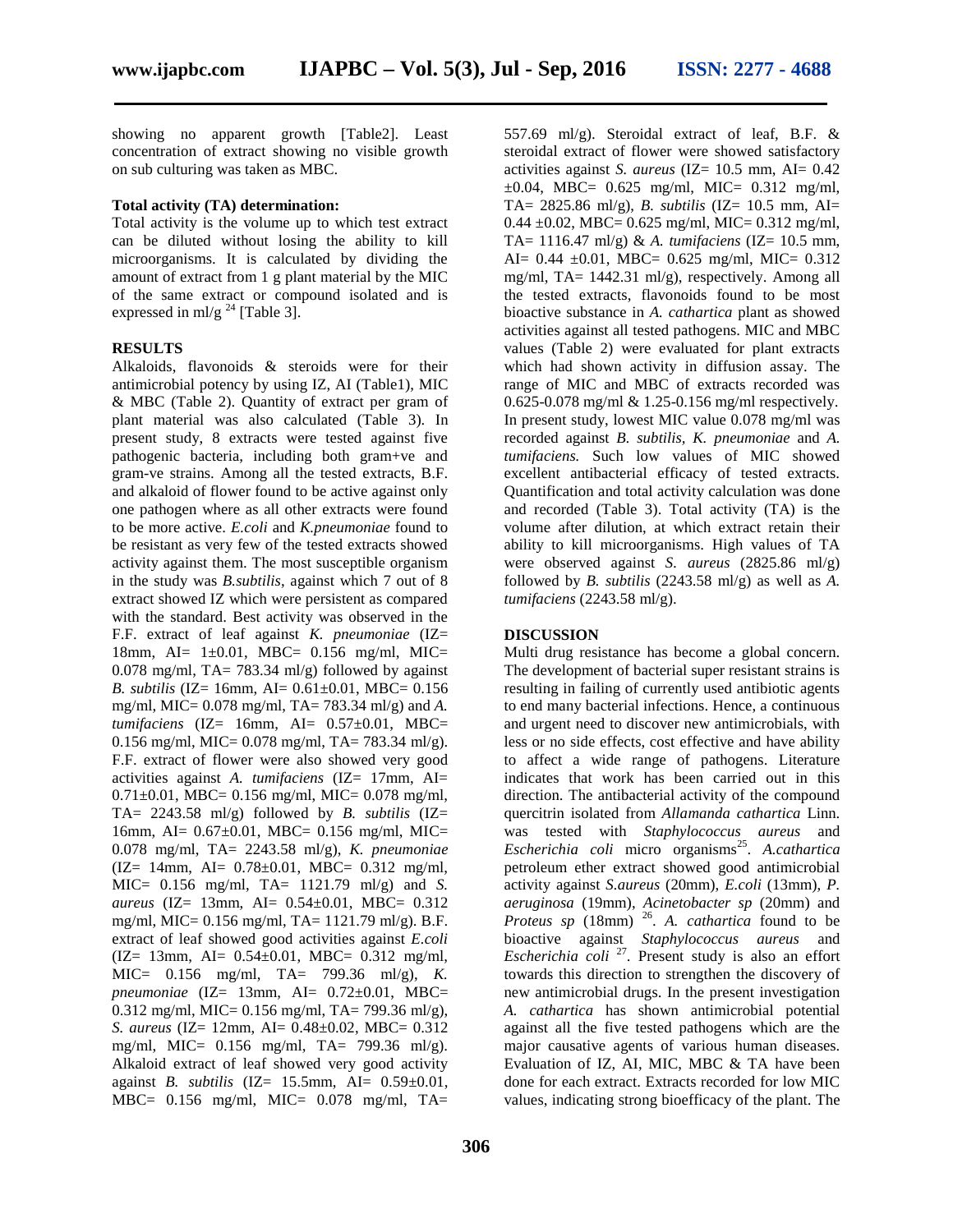showing no apparent growth [Table2]. Least concentration of extract showing no visible growth on sub culturing was taken as MBC.

#### **Total activity (TA) determination:**

Total activity is the volume up to which test extract can be diluted without losing the ability to kill microorganisms. It is calculated by dividing the amount of extract from 1 g plant material by the MIC of the same extract or compound isolated and is expressed in ml/g  $^{24}$  [Table 3].

#### **RESULTS**

Alkaloids, flavonoids & steroids were for their antimicrobial potency by using IZ, AI (Table1), MIC & MBC (Table 2). Quantity of extract per gram of plant material was also calculated (Table 3). In present study, 8 extracts were tested against five pathogenic bacteria, including both gram+ve and gram-ve strains. Among all the tested extracts, B.F. and alkaloid of flower found to be active against only one pathogen where as all other extracts were found to be more active. *E.coli* and *K.pneumoniae* found to be resistant as very few of the tested extracts showed activity against them. The most susceptible organism in the study was *B.subtilis*, against which 7 out of 8 extract showed IZ which were persistent as compared with the standard. Best activity was observed in the F.F. extract of leaf against *K. pneumoniae* (IZ= 18mm, AI= 1±0.01, MBC= 0.156 mg/ml, MIC= 0.078 mg/ml, TA= 783.34 ml/g) followed by against *B. subtilis* (IZ= 16mm, AI= 0.61±0.01, MBC= 0.156 mg/ml, MIC= 0.078 mg/ml, TA= 783.34 ml/g) and *A. tumifaciens* (IZ= 16mm, AI= 0.57±0.01, MBC= 0.156 mg/ml, MIC= 0.078 mg/ml, TA= 783.34 ml/g). F.F. extract of flower were also showed very good activities against *A. tumifaciens* (IZ= 17mm, AI=  $0.71\pm0.01$ , MBC= 0.156 mg/ml, MIC= 0.078 mg/ml, TA=  $2243.58$  ml/g) followed by *B. subtilis* (IZ= 16mm, AI= 0.67±0.01, MBC= 0.156 mg/ml, MIC= 0.078 mg/ml, TA= 2243.58 ml/g), *K. pneumoniae*  $(IZ = 14mm, AI = 0.78 \pm 0.01, MBC = 0.312 mg/ml,$ MIC= 0.156 mg/ml, TA= 1121.79 ml/g) and *S. aureus* (IZ= 13mm, AI= 0.54±0.01, MBC= 0.312 mg/ml, MIC= 0.156 mg/ml, TA= 1121.79 ml/g). B.F. extract of leaf showed good activities against *E.coli*  $(IZ = 13$ mm, AI=  $0.54 \pm 0.01$ , MBC=  $0.312$  mg/ml, MIC= 0.156 mg/ml, TA= 799.36 ml/g), *K. pneumoniae* (IZ= 13mm, AI= 0.72±0.01, MBC= 0.312 mg/ml, MIC= 0.156 mg/ml, TA= 799.36 ml/g), *S. aureus* (IZ= 12mm, AI= 0.48±0.02, MBC= 0.312 mg/ml, MIC= 0.156 mg/ml, TA= 799.36 ml/g). Alkaloid extract of leaf showed very good activity against *B. subtilis* (IZ= 15.5mm, AI= 0.59±0.01, MBC= 0.156 mg/ml, MIC= 0.078 mg/ml, TA=

557.69 ml/g). Steroidal extract of leaf, B.F. & steroidal extract of flower were showed satisfactory activities against *S. aureus* (IZ= 10.5 mm, AI= 0.42 ±0.04, MBC= 0.625 mg/ml, MIC= 0.312 mg/ml, TA=  $2825.86$  ml/g), *B. subtilis* (IZ= 10.5 mm, AI= 0.44 ±0.02, MBC= 0.625 mg/ml, MIC= 0.312 mg/ml, TA= 1116.47 ml/g) & *A. tumifaciens* (IZ= 10.5 mm, AI=  $0.44 \pm 0.01$ , MBC=  $0.625$  mg/ml, MIC=  $0.312$ mg/ml, TA= 1442.31 ml/g), respectively. Among all the tested extracts, flavonoids found to be most bioactive substance in *A. cathartica* plant as showed activities against all tested pathogens. MIC and MBC values (Table 2) were evaluated for plant extracts which had shown activity in diffusion assay. The range of MIC and MBC of extracts recorded was 0.625-0.078 mg/ml & 1.25-0.156 mg/ml respectively. In present study, lowest MIC value 0.078 mg/ml was recorded against *B. subtilis, K. pneumoniae* and *A. tumifaciens.* Such low values of MIC showed excellent antibacterial efficacy of tested extracts. Quantification and total activity calculation was done and recorded (Table 3). Total activity (TA) is the volume after dilution, at which extract retain their ability to kill microorganisms. High values of TA were observed against *S. aureus* (2825.86 ml/g) followed by *B. subtilis* (2243.58 ml/g) as well as *A. tumifaciens* (2243.58 ml/g).

#### **DISCUSSION**

Multi drug resistance has become a global concern. The development of bacterial super resistant strains is resulting in failing of currently used antibiotic agents to end many bacterial infections. Hence, a continuous and urgent need to discover new antimicrobials, with less or no side effects, cost effective and have ability to affect a wide range of pathogens. Literature indicates that work has been carried out in this direction. The antibacterial activity of the compound quercitrin isolated from *Allamanda cathartica* Linn. was tested with *Staphylococcus aureus* and Escherichia coli micro organisms<sup>25</sup>. A.cathartica petroleum ether extract showed good antimicrobial activity against *S.aureus* (20mm), *E.coli* (13mm), *P. aeruginosa* (19mm), *Acinetobacter sp* (20mm) and *Proteus sp* (18mm) <sup>26</sup>. A. *cathartica* found to be bioactive against *Staphylococcus aureus* and *Escherichia coli*<sup>27</sup>. Present study is also an effort towards this direction to strengthen the discovery of new antimicrobial drugs. In the present investigation *A. cathartica* has shown antimicrobial potential against all the five tested pathogens which are the major causative agents of various human diseases. Evaluation of IZ, AI, MIC, MBC & TA have been done for each extract. Extracts recorded for low MIC values, indicating strong bioefficacy of the plant. The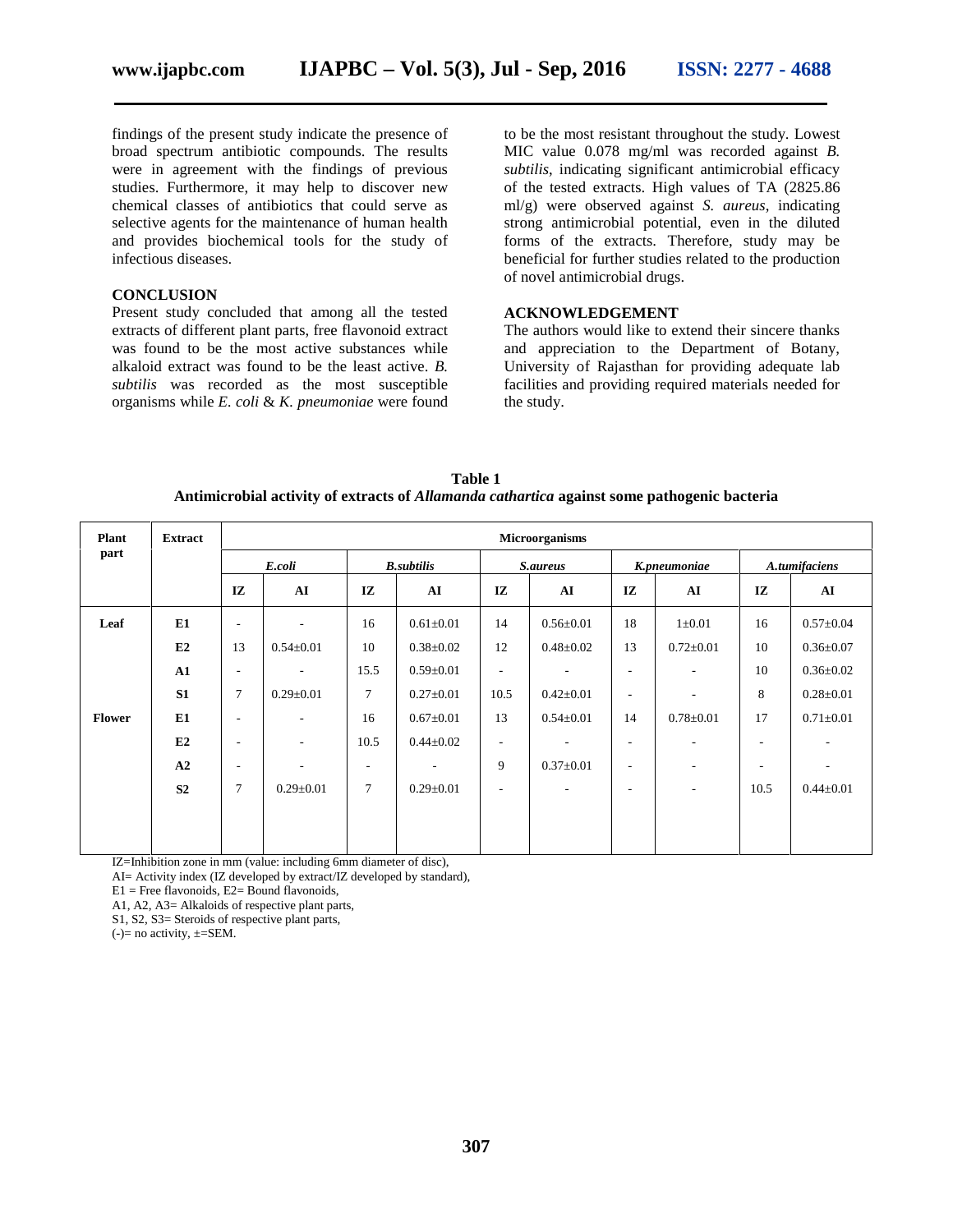findings of the present study indicate the presence of broad spectrum antibiotic compounds. The results were in agreement with the findings of previous studies. Furthermore, it may help to discover new chemical classes of antibiotics that could serve as selective agents for the maintenance of human health and provides biochemical tools for the study of infectious diseases.

#### **CONCLUSION**

Present study concluded that among all the tested extracts of different plant parts, free flavonoid extract was found to be the most active substances while alkaloid extract was found to be the least active. *B. subtilis* was recorded as the most susceptible organisms while *E. coli* & *K. pneumoniae* were found

to be the most resistant throughout the study. Lowest MIC value 0.078 mg/ml was recorded against *B. subtilis*, indicating significant antimicrobial efficacy of the tested extracts. High values of TA (2825.86 ml/g) were observed against *S. aureus*, indicating strong antimicrobial potential, even in the diluted forms of the extracts. Therefore, study may be beneficial for further studies related to the production of novel antimicrobial drugs.

#### **ACKNOWLEDGEMENT**

The authors would like to extend their sincere thanks and appreciation to the Department of Botany, University of Rajasthan for providing adequate lab facilities and providing required materials needed for the study.

**Table 1 Antimicrobial activity of extracts of** *Allamanda cathartica* **against some pathogenic bacteria**

| <b>Plant</b>  | <b>Extract</b> | <b>Microorganisms</b>    |                          |      |                          |        |                          |                          |                          |      |                 |
|---------------|----------------|--------------------------|--------------------------|------|--------------------------|--------|--------------------------|--------------------------|--------------------------|------|-----------------|
| part          |                | E.coli                   |                          |      | <b>B.subtilis</b>        |        | <b>S.aureus</b>          |                          | K.pneumoniae             |      | A.tumifaciens   |
|               |                | IZ                       | ${\bf AI}$               | IZ   | AI                       | IZ     | ${\bf AI}$               | IZ                       | ${\bf AI}$               | IZ   | AI              |
| Leaf          | E1             | $\overline{\phantom{a}}$ |                          | 16   | $0.61 \pm 0.01$          | 14     | $0.56 \pm 0.01$          | 18                       | $1 \pm 0.01$             | 16   | $0.57 \pm 0.04$ |
|               | E2             | 13                       | $0.54 \pm 0.01$          | 10   | $0.38 \pm 0.02$          | 12     | $0.48 \pm 0.02$          | 13                       | $0.72 \pm 0.01$          | 10   | $0.36 \pm 0.07$ |
|               | ${\bf A1}$     | $\overline{\phantom{a}}$ | $\overline{\phantom{a}}$ | 15.5 | $0.59 \pm 0.01$          | ٠      | ۰.                       | ٠                        | ٠                        | 10   | $0.36 \pm 0.02$ |
|               | S1             | $\overline{7}$           | $0.29 \pm 0.01$          | 7    | $0.27 \pm 0.01$          | 10.5   | $0.42 \pm 0.01$          | $\overline{\phantom{a}}$ | ٠                        | 8    | $0.28 + 0.01$   |
| <b>Flower</b> | E1             | $\overline{\phantom{a}}$ | ٠                        | 16   | $0.67 \pm 0.01$          | 13     | $0.54 \pm 0.01$          | 14                       | $0.78 \pm 0.01$          | 17   | $0.71 \pm 0.01$ |
|               | E2             | $\overline{\phantom{a}}$ | ٠                        | 10.5 | $0.44 \pm 0.02$          | $\sim$ | ۰.                       | ٠                        |                          | ٠    | ٠               |
|               | A2             | $\overline{\phantom{a}}$ | $\overline{\phantom{a}}$ | ٠.   | $\overline{\phantom{a}}$ | 9      | $0.37 \pm 0.01$          | ٠                        | ٠                        | ٠.   | ٠               |
|               | S <sub>2</sub> | $\overline{7}$           | $0.29 \pm 0.01$          | 7    | $0.29 \pm 0.01$          | ٠      | $\overline{\phantom{a}}$ | $\overline{\phantom{a}}$ | $\overline{\phantom{a}}$ | 10.5 | $0.44 \pm 0.01$ |
|               |                |                          |                          |      |                          |        |                          |                          |                          |      |                 |
|               |                |                          |                          |      |                          |        |                          |                          |                          |      |                 |

IZ=Inhibition zone in mm (value: including 6mm diameter of disc),

AI= Activity index (IZ developed by extract/IZ developed by standard),

 $E1$  = Free flavonoids,  $E2$  = Bound flavonoids,

A1, A2, A3= Alkaloids of respective plant parts,

S1, S2, S3= Steroids of respective plant parts,

 $(-)=$  no activity,  $\pm$ =SEM.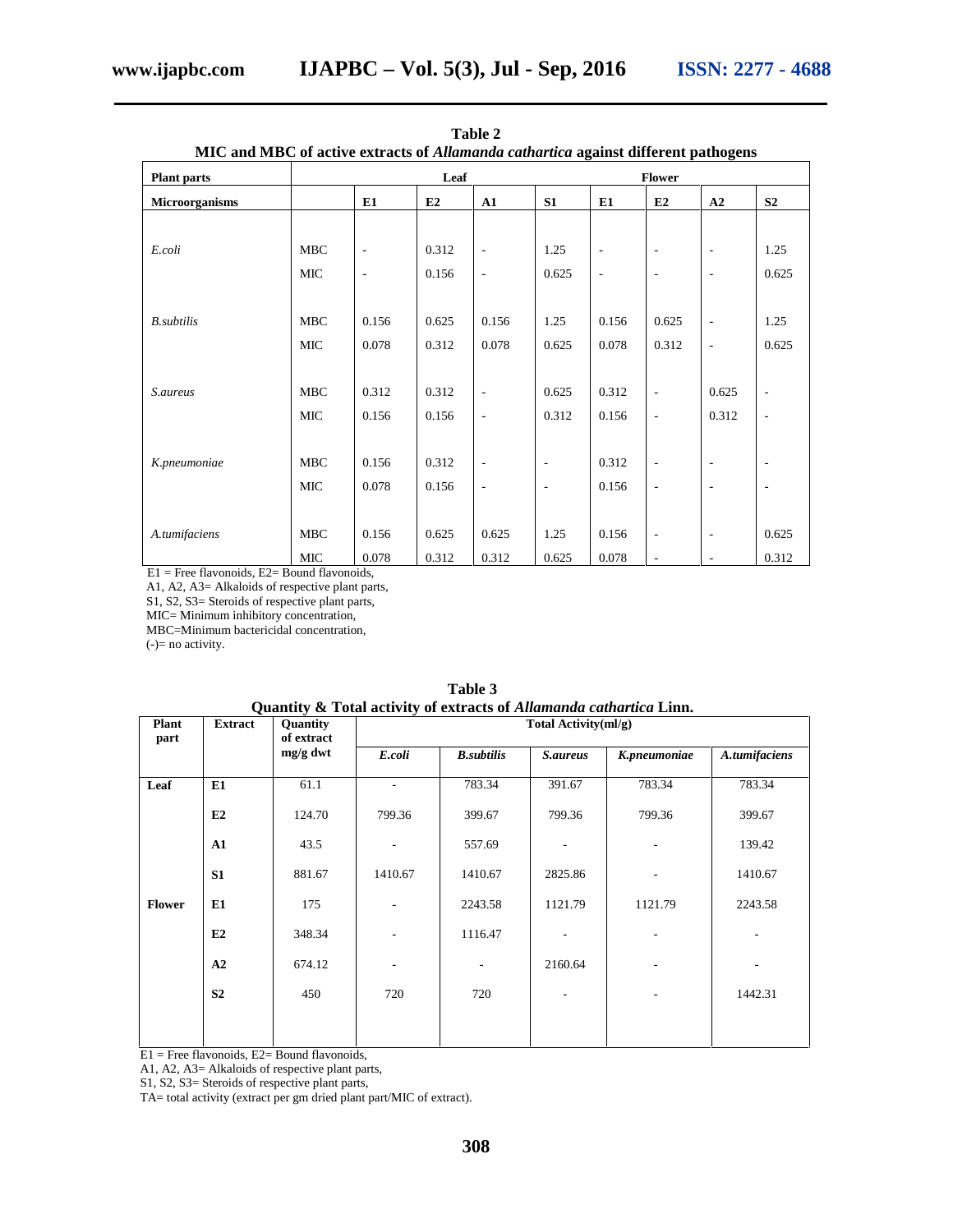| MIC and MBC of active extracts of <i>Allamanda cathartica</i> against different pathogens |            |                              |       |                          |                          |               |                          |                          |                          |  |  |
|-------------------------------------------------------------------------------------------|------------|------------------------------|-------|--------------------------|--------------------------|---------------|--------------------------|--------------------------|--------------------------|--|--|
| <b>Plant parts</b>                                                                        |            | Leaf                         |       |                          |                          | <b>Flower</b> |                          |                          |                          |  |  |
| Microorganisms                                                                            |            | E1                           | E2    | ${\bf A1}$               | S1                       | E1            | E2                       | A2                       | S <sub>2</sub>           |  |  |
|                                                                                           |            |                              |       |                          |                          |               |                          |                          |                          |  |  |
| E.coli                                                                                    | <b>MBC</b> | $\qquad \qquad \blacksquare$ | 0.312 | $\overline{\phantom{a}}$ | 1.25                     | ÷,            | $\overline{\phantom{a}}$ | $\overline{a}$           | 1.25                     |  |  |
|                                                                                           | MIC        | $\overline{\phantom{a}}$     | 0.156 | $\blacksquare$           | 0.625                    | ÷             | $\overline{\phantom{a}}$ | $\overline{a}$           | 0.625                    |  |  |
|                                                                                           |            |                              |       |                          |                          |               |                          |                          |                          |  |  |
| <b>B</b> .subtilis                                                                        | <b>MBC</b> | 0.156                        | 0.625 | 0.156                    | 1.25                     | 0.156         | 0.625                    | ÷,                       | 1.25                     |  |  |
|                                                                                           | MIC        | 0.078                        | 0.312 | 0.078                    | 0.625                    | 0.078         | 0.312                    | ÷,                       | 0.625                    |  |  |
|                                                                                           |            |                              |       |                          |                          |               |                          |                          |                          |  |  |
| <i>S.aureus</i>                                                                           | <b>MBC</b> | 0.312                        | 0.312 | $\blacksquare$           | 0.625                    | 0.312         | $\overline{\phantom{a}}$ | 0.625                    | $\overline{\phantom{a}}$ |  |  |
|                                                                                           | MIC        | 0.156                        | 0.156 | $\blacksquare$           | 0.312                    | 0.156         | $\blacksquare$           | 0.312                    | $\blacksquare$           |  |  |
|                                                                                           |            |                              |       |                          |                          |               |                          |                          |                          |  |  |
| K.pneumoniae                                                                              | <b>MBC</b> | 0.156                        | 0.312 | $\overline{\phantom{a}}$ | $\overline{\phantom{a}}$ | 0.312         | $\overline{\phantom{a}}$ | $\overline{\phantom{a}}$ | $\overline{\phantom{a}}$ |  |  |
|                                                                                           | MIC        | 0.078                        | 0.156 | $\overline{\phantom{a}}$ | $\overline{\phantom{a}}$ | 0.156         | ÷,                       | ÷,                       | ÷,                       |  |  |
|                                                                                           |            |                              |       |                          |                          |               |                          |                          |                          |  |  |
| A.tumifaciens                                                                             | <b>MBC</b> | 0.156                        | 0.625 | 0.625                    | 1.25                     | 0.156         | $\overline{\phantom{a}}$ | $\overline{\phantom{a}}$ | 0.625                    |  |  |
|                                                                                           | MIC        | 0.078                        | 0.312 | 0.312                    | 0.625                    | 0.078         | $\overline{\phantom{a}}$ | ٠                        | 0.312                    |  |  |

| Table 2                                                    |  |
|------------------------------------------------------------|--|
| BC of active extracts of Allamanda cathartica against diff |  |

E1 = Free flavonoids, E2= Bound flavonoids,

A1, A2, A3= Alkaloids of respective plant parts,

S1, S2, S3= Steroids of respective plant parts,

MIC= Minimum inhibitory concentration,

MBC=Minimum bactericidal concentration,

(-)= no activity.

| <b>Plant</b><br>part | <b>Extract</b> | Quantity<br>of extract | Total Activity(ml/g) |                   |                          |                          |               |  |  |  |
|----------------------|----------------|------------------------|----------------------|-------------------|--------------------------|--------------------------|---------------|--|--|--|
|                      |                | $mg/g$ dwt             | E.coli               | <b>B.subtilis</b> | S.aureus                 | K.pneumoniae             | A.tumifaciens |  |  |  |
| Leaf                 | E1             | 61.1                   |                      | 783.34            | 391.67                   | 783.34                   | 783.34        |  |  |  |
|                      | E2             | 124.70                 | 799.36               | 399.67            | 799.36                   | 799.36                   | 399.67        |  |  |  |
|                      | A1             | 43.5                   |                      | 557.69            | $\overline{\phantom{a}}$ | $\overline{\phantom{a}}$ | 139.42        |  |  |  |
|                      | S <sub>1</sub> | 881.67                 | 1410.67              | 1410.67           | 2825.86                  |                          | 1410.67       |  |  |  |
| <b>Flower</b>        | E1             | 175                    |                      | 2243.58           | 1121.79                  | 1121.79                  | 2243.58       |  |  |  |
|                      | E2             | 348.34                 |                      | 1116.47           |                          |                          |               |  |  |  |
|                      | A2             | 674.12                 |                      | ۰                 | 2160.64                  |                          |               |  |  |  |
|                      | S <sub>2</sub> | 450                    | 720                  | 720               | $\overline{\phantom{a}}$ |                          | 1442.31       |  |  |  |

| Table 3                                                            |  |
|--------------------------------------------------------------------|--|
| Ouantity & Total activity of extracts of Allamanda cathartica Linn |  |

 $E1$  = Free flavonoids,  $E2$  = Bound flavonoids,

A1, A2, A3= Alkaloids of respective plant parts,

S1, S2, S3= Steroids of respective plant parts,

TA= total activity (extract per gm dried plant part/MIC of extract).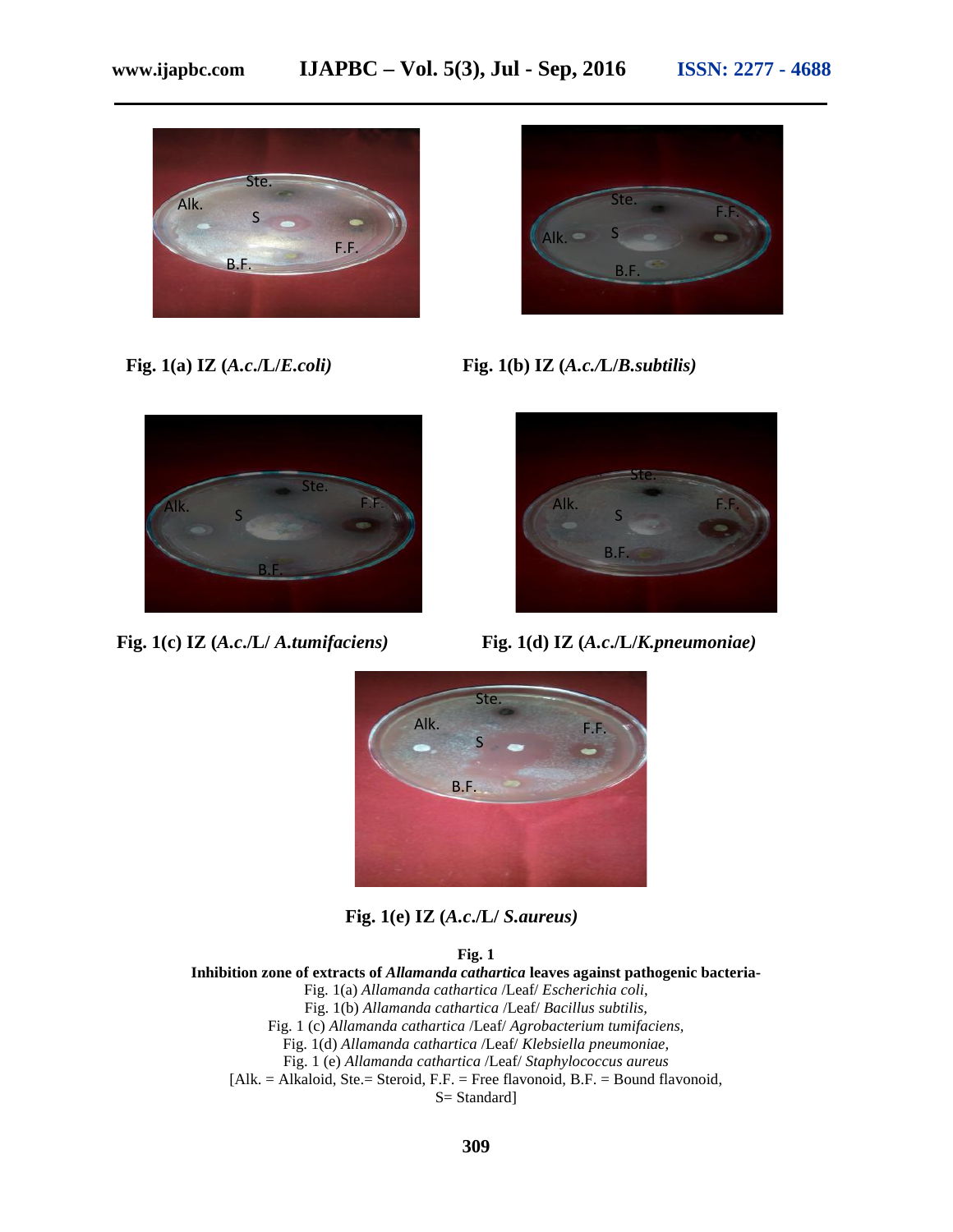



**Fig. 1(a) IZ (***A.c***./L/***E.coli)* **Fig. 1(b) IZ (***A.c./***L/***B.subtilis)*



**Fig. 1(c) IZ (***A.c***./L/** *A.tumifaciens)* **Fig. 1(d) IZ (***A.c***./L/***K.pneumoniae)*





**Fig. 1(e) IZ (***A.c***./L/** *S.aureus)*

#### **Fig. 1**

**Inhibition zone of extracts of** *Allamanda cathartica* **leaves against pathogenic bacteria-**

- Fig. 1(a) *Allamanda cathartica* /Leaf/ *Escherichia coli*,
- Fig. 1(b) *Allamanda cathartica* /Leaf/ *Bacillus subtilis,*
- Fig. 1 (c) *Allamanda cathartica* /Leaf/ *Agrobacterium tumifaciens,*
	- Fig. 1(d) *Allamanda cathartica* /Leaf/ *Klebsiella pneumoniae,*
	- Fig. 1 (e) *Allamanda cathartica* /Leaf/ *Staphylococcus aureus*
- $[Alk. = Alkaloid, Ste. = Steroid, F.F. = Free flavonoid, B.F. = Bound flavonoid,$

S= Standard]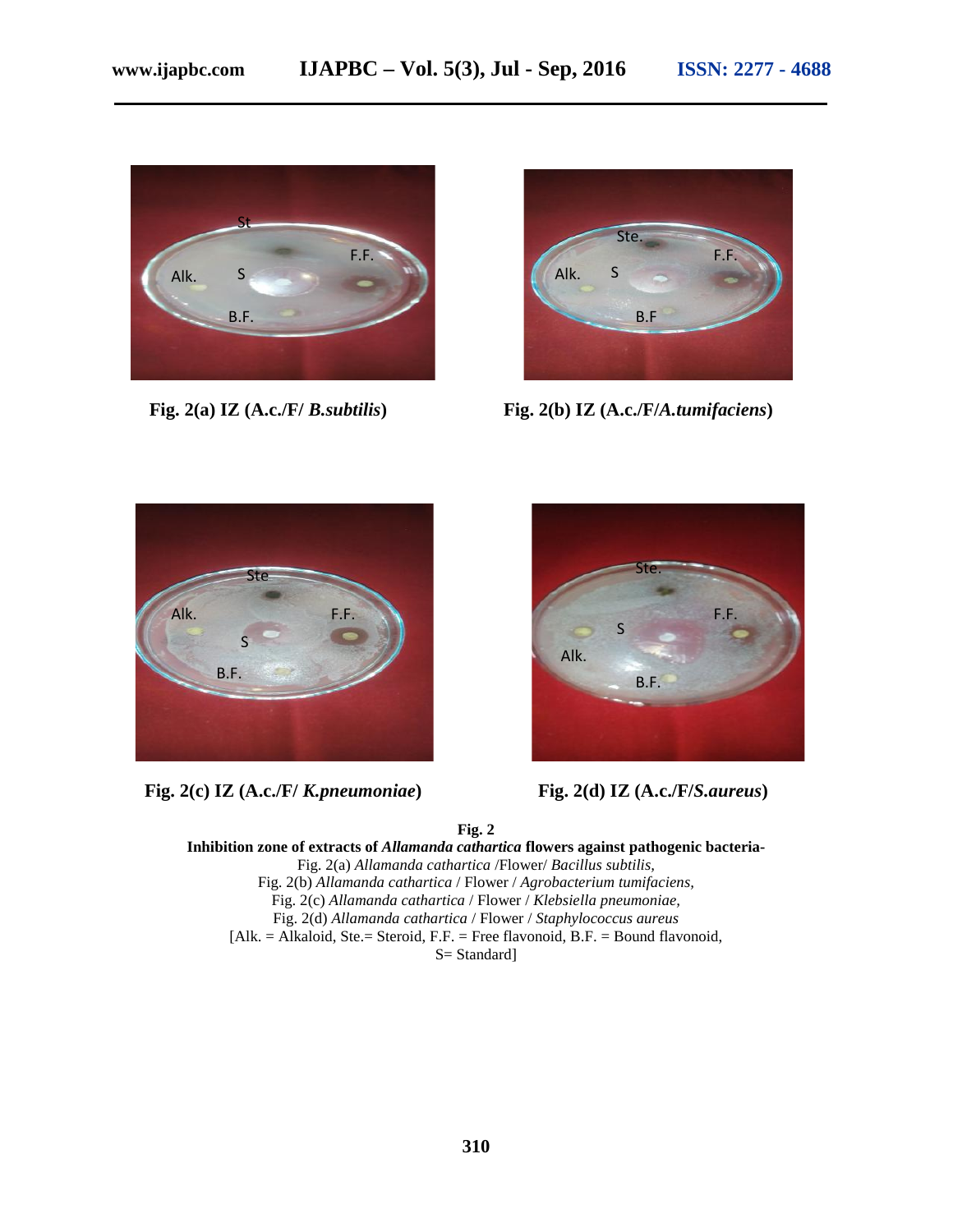



**Fig. 2(a) IZ (A.c./F/** *B.subtilis***) Fig. 2(b) IZ (A.c./F/***A.tumifaciens***)**



**Fig. 2(c) IZ (A.c./F/** *K.pneumoniae***) Fig. 2(d) IZ (A.c./F/***S.aureus***)**



**Fig. 2**

**Inhibition zone of extracts of** *Allamanda cathartica* **flowers against pathogenic bacteria-** Fig. 2(a) *Allamanda cathartica* /Flower/ *Bacillus subtilis,* Fig. 2(b) *Allamanda cathartica* / Flower / *Agrobacterium tumifaciens,* Fig. 2(c) *Allamanda cathartica* / Flower / *Klebsiella pneumoniae,* Fig. 2(d) *Allamanda cathartica* / Flower / *Staphylococcus aureus* [Alk. = Alkaloid, Ste.= Steroid, F.F. = Free flavonoid, B.F. = Bound flavonoid, S= Standard]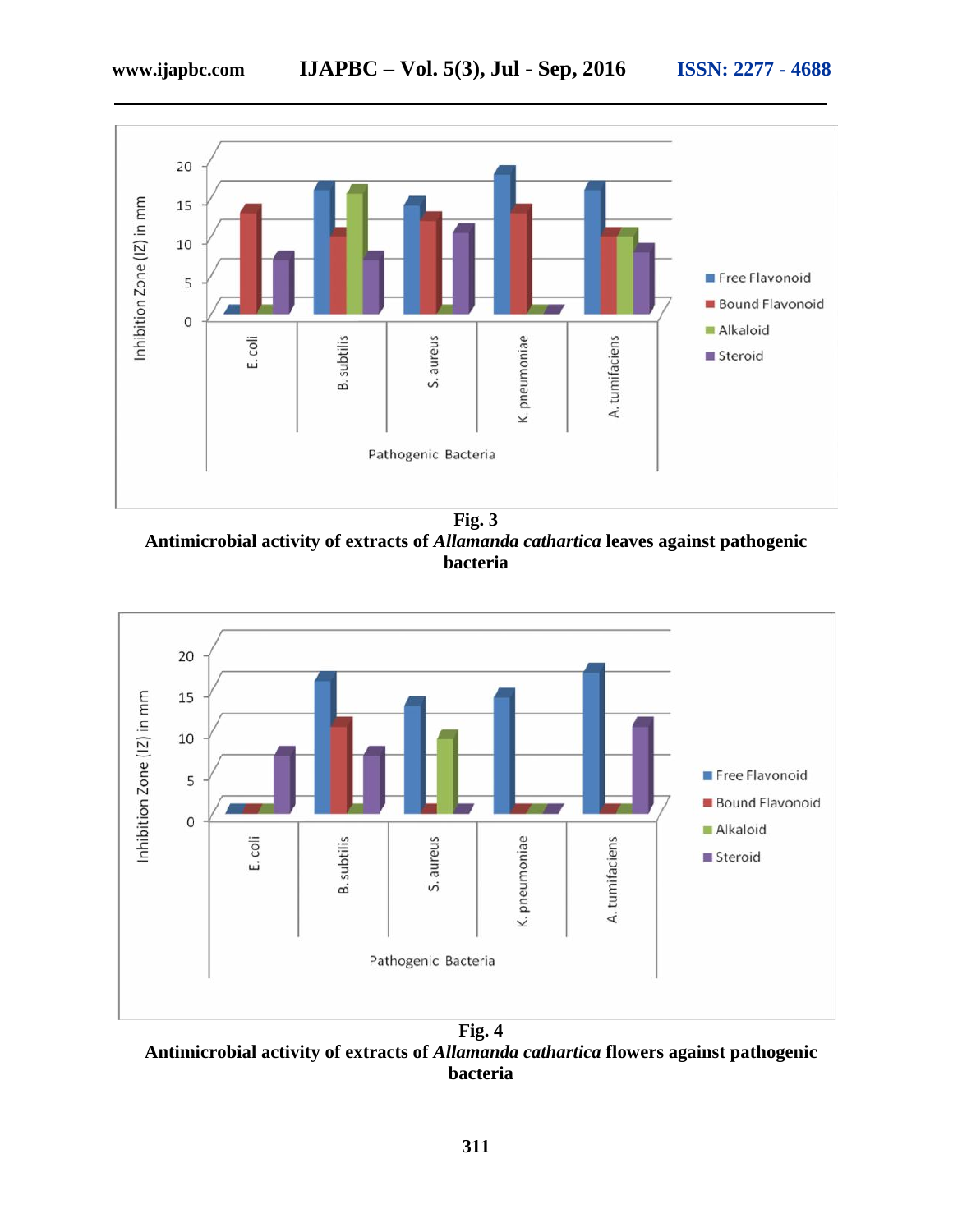

**Fig. 3 Antimicrobial activity of extracts of** *Allamanda cathartica* **leaves against pathogenic bacteria**



**Antimicrobial activity of extracts of** *Allamanda cathartica* **flowers against pathogenic bacteria**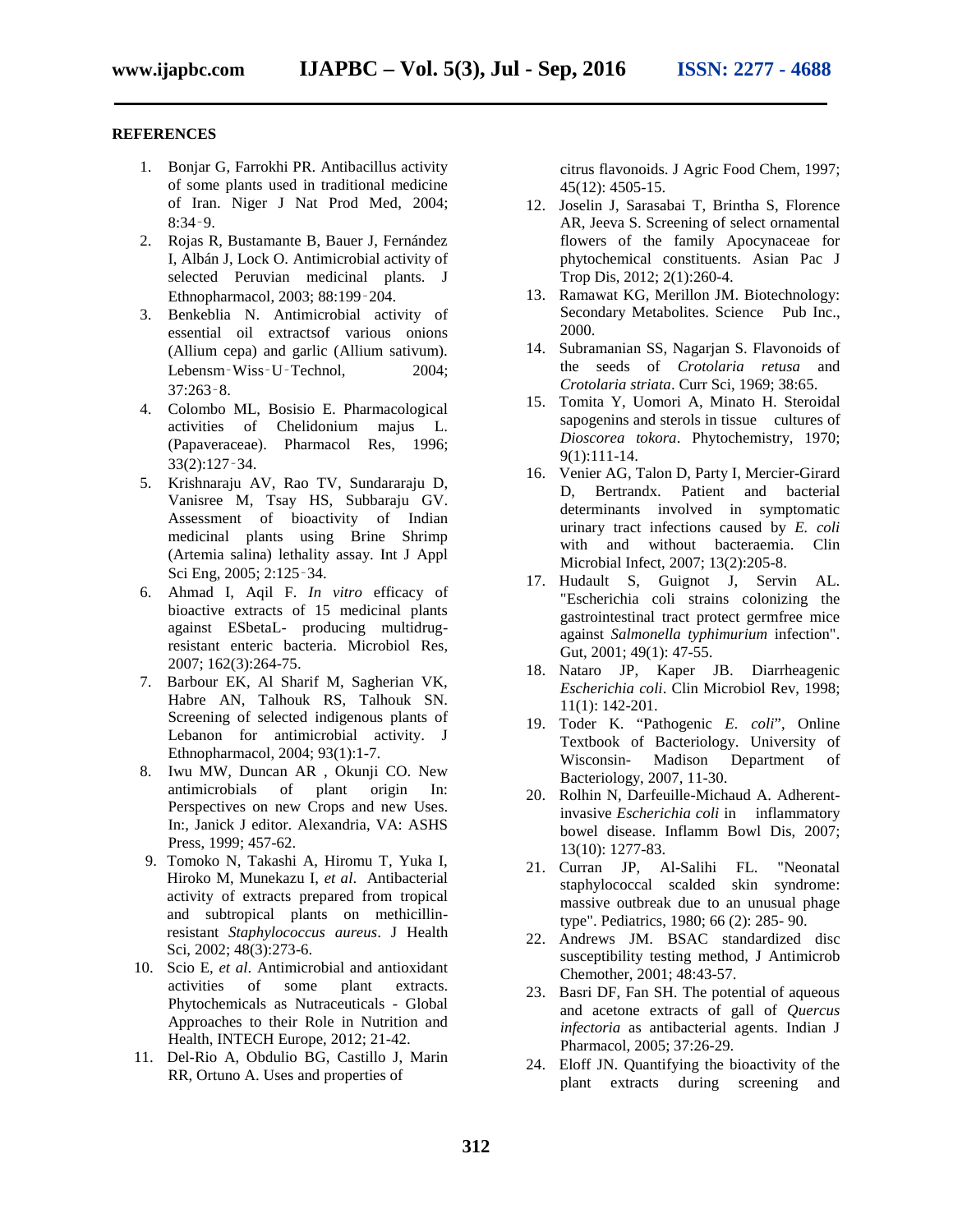#### **REFERENCES**

- 1. Bonjar G, Farrokhi PR. Antibacillus activity of some plants used in traditional medicine of Iran. Niger J Nat Prod Med, 2004; 8:34‑9.
- 2. Rojas R, Bustamante B, Bauer J, Fernández I, Albán J, Lock O. Antimicrobial activity of selected Peruvian medicinal plants. J Ethnopharmacol, 2003; 88:199‑204.
- 3. Benkeblia N. Antimicrobial activity of essential oil extractsof various onions (Allium cepa) and garlic (Allium sativum). Lebensm‐Wiss‐U‐Technol, 2004; 37:263‑8.
- 4. Colombo ML, Bosisio E. Pharmacological activities of Chelidonium majus L. (Papaveraceae). Pharmacol Res, 1996; 33(2):127‑34.
- 5. Krishnaraju AV, Rao TV, Sundararaju D, Vanisree M, Tsay HS, Subbaraju GV. Assessment of bioactivity of Indian medicinal plants using Brine Shrimp (Artemia salina) lethality assay. Int J Appl Sci Eng, 2005; 2:125‑34.
- 6. Ahmad I, Aqil F. *In vitro* efficacy of bioactive extracts of 15 medicinal plants against ESbetaL- producing multidrugresistant enteric bacteria. Microbiol Res, 2007; 162(3):264-75.
- 7. Barbour EK, Al Sharif M, Sagherian VK, Habre AN, Talhouk RS, Talhouk SN. Screening of selected indigenous plants of Lebanon for antimicrobial activity. J Ethnopharmacol, 2004; 93(1):1-7.
- 8. Iwu MW, Duncan AR, Okunji CO. New<br>antimicrobials of plant origin In: of plant origin In: Perspectives on new Crops and new Uses. In:, Janick J editor. Alexandria, VA: ASHS Press, 1999; 457-62.
- 9. Tomoko N, Takashi A, Hiromu T, Yuka I, Hiroko M, Munekazu I, *et al*. Antibacterial activity of extracts prepared from tropical and subtropical plants on methicillinresistant *Staphylococcus aureus*. J Health Sci, 2002; 48(3):273-6.
- 10. Scio E, *et al*. Antimicrobial and antioxidant activities of some plant extracts. Phytochemicals as Nutraceuticals - Global Approaches to their Role in Nutrition and Health, INTECH Europe, 2012; 21-42.
- 11. Del-Rio A, Obdulio BG, Castillo J, Marin RR, Ortuno A. Uses and properties of

citrus flavonoids. J Agric Food Chem, 1997; 45(12): 4505-15.

- 12. Joselin J, Sarasabai T, Brintha S, Florence AR, Jeeva S. Screening of select ornamental flowers of the family Apocynaceae for phytochemical constituents. Asian Pac J Trop Dis, 2012; 2(1):260-4.
- 13. Ramawat KG, Merillon JM. Biotechnology: Secondary Metabolites. Science Pub Inc., 2000.
- 14. Subramanian SS, Nagarjan S. Flavonoids of the seeds of *Crotolaria retusa* and *Crotolaria striata*. Curr Sci, 1969; 38:65.
- 15. Tomita Y, Uomori A, Minato H. Steroidal sapogenins and sterols in tissue cultures of *Dioscorea tokora*. Phytochemistry, 1970; 9(1):111-14.
- 16. Venier AG, Talon D, Party I, Mercier-Girard D, Bertrandx. Patient and bacterial determinants involved in symptomatic urinary tract infections caused by *E. coli* with and without bacteraemia. Clin Microbial Infect, 2007; 13(2):205-8.
- 17. Hudault S, Guignot J, Servin AL. "Escherichia coli strains colonizing the gastrointestinal tract protect germfree mice against *Salmonella typhimurium* infection". Gut, 2001; 49(1): 47-55.
- 18. Nataro JP, Kaper JB. Diarrheagenic *Escherichia coli*. Clin Microbiol Rev, 1998; 11(1): 142-201.
- 19. Toder K. "Pathogenic *E. coli*", Online Textbook of Bacteriology. University of Wisconsin- Madison Department of Bacteriology, 2007, 11-30.
- 20. Rolhin N, Darfeuille-Michaud A. Adherentinvasive *Escherichia coli* in inflammatory bowel disease. Inflamm Bowl Dis, 2007; 13(10): 1277-83.
- 21. Curran JP, Al-Salihi FL. "Neonatal staphylococcal scalded skin syndrome: massive outbreak due to an unusual phage type". Pediatrics, 1980; 66 (2): 285- 90.
- 22. Andrews JM. BSAC standardized disc susceptibility testing method, J Antimicrob Chemother, 2001; 48:43-57.
- 23. Basri DF, Fan SH. The potential of aqueous and acetone extracts of gall of *Quercus infectoria* as antibacterial agents. Indian J Pharmacol, 2005; 37:26-29.
- 24. Eloff JN. Quantifying the bioactivity of the plant extracts during screening and